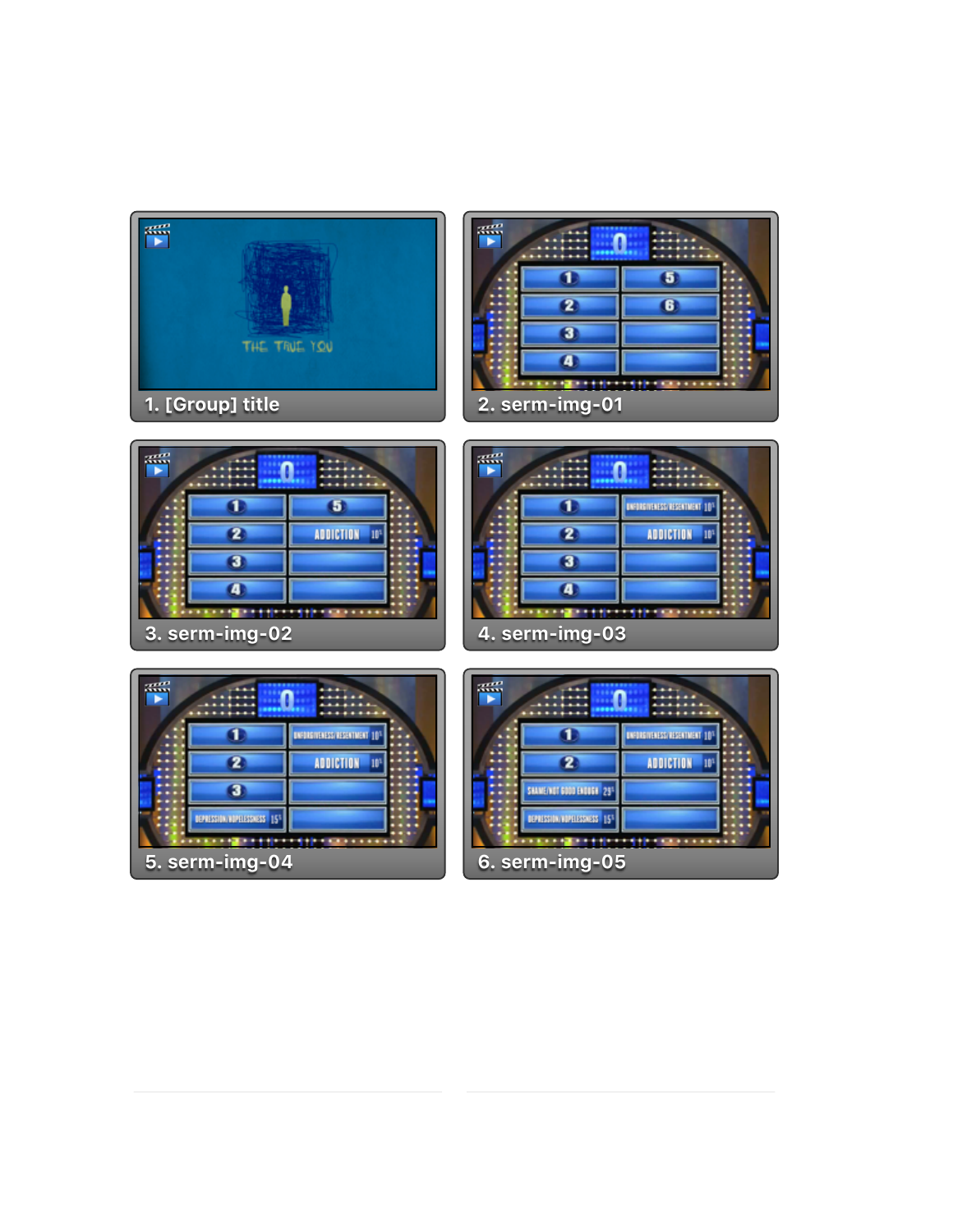

| $\mathbb{R}^m$ |                |  |
|----------------|----------------|--|
|                |                |  |
|                |                |  |
|                |                |  |
|                |                |  |
|                | 2. serm-img-01 |  |

| $\mathbb{R}^m$ |  | $\mathbb{R}^n$ |                |
|----------------|--|----------------|----------------|
|                |  |                |                |
|                |  |                |                |
|                |  |                |                |
|                |  |                |                |
| 3. serm-img-02 |  |                | 4. serm-img-03 |

| $\overline{1}$ |   |                                   |  |
|----------------|---|-----------------------------------|--|
|                |   | <b>UNFORTENEDIA RESINTMENT 10</b> |  |
|                | 2 | <b>ADDICTION</b>                  |  |
|                |   |                                   |  |
|                | П |                                   |  |
|                |   |                                   |  |
| 4. serm-img-03 |   |                                   |  |

| æZ                          |                        | 恶                         |
|-----------------------------|------------------------|---------------------------|
|                             | INFORMATION REGENTMENT |                           |
|                             | <b>ADDICTION</b>       |                           |
| ÆŦ                          |                        | SAAME/NOT GOOD ENDUSK     |
| DEPRESSION/HOPELESSNESS   5 |                        | <b>BERESSIA BURESSISS</b> |
| 5. serm-img-04              |                        | $6.$ serm-img-05          |

|                                    | UNFORD THE EXISTENT MENT 10° |
|------------------------------------|------------------------------|
|                                    | <b>ADDICTION</b><br>10°      |
| SHAME/NOT 6000 ENDINE 291          |                              |
| <b>CEPRENSION INTERESTINGS 151</b> |                              |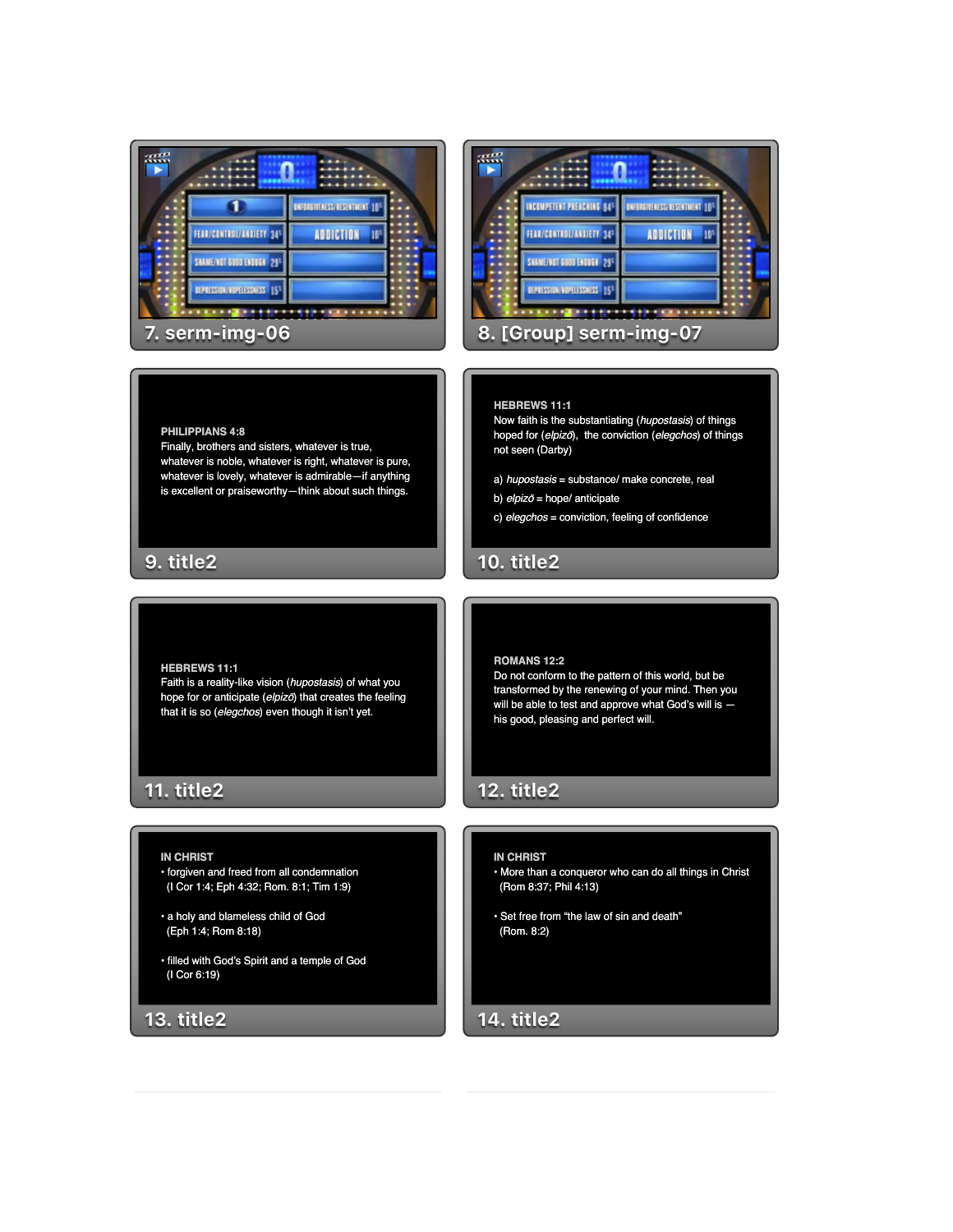### **13. title2**

(I Cor 6:19)

### • a holy and blameless child of God

(Eph 1:4; Rom 8:18)

**11. title2**

**PHILIPPIANS 4:8**

**9. title2**

**HEBREWS 11:1**

(I Cor 1:4; Eph 4:32; Rom. 8:1; Tim 1:9)

• filled with God's Spirit and a temple of God

- 
- 
- 
- 
- 

- 
- **IN CHRIST** • forgiven and freed from all condemnation

- 
- 

Faith is a reality-like vision (*hupostasis*) of what you hope for or anticipate (*elpiz*ō) that creates the feeling that it is so (*elegchos*) even though it isn't yet.

## • More than a conqueror who can do all things in Christ

# • Set free from "the law of sin and death"

# (Rom 8:37; Phil 4:13)

# (Rom. 8:2)

# **IN CHRIST**

# **12. title2**

Do not conform to the pattern of this world, but be transformed by the renewing of your mind. Then you

## will be able to test and approve what God's will is his good, pleasing and perfect will.

**14. title2**

**ROMANS 12:2**

## **10. title2**

 $\sqrt{2}$ 

### c) *elegchos* = conviction, feeling of confidence

- b) *elpiz*ō = hope/ anticipate
- a) *hupostasis* = substance/ make concrete, real

# not seen (Darby)

**HEBREWS 11:1** Now faith is the substantiating (*hupostasis*) of things hoped for (*elpiz*ō), the conviction (*elegchos*) of things



Finally, brothers and sisters, whatever is true, whatever is noble, whatever is right, whatever is pure, whatever is lovely, whatever is admirable—if anything is excellent or praiseworthy—think about such things.

|                        | INCOMPETENT PREACHING 84%          | <b>UNDERWORKSHOWNED</b> |  |
|------------------------|------------------------------------|-------------------------|--|
|                        | FEAR/CONTROL/ANDIETY 34            | <b>ADDICTION</b>        |  |
|                        | SHAME(NOT 6000 ENDER 129)          |                         |  |
|                        | <b>CEPRESSION RUPELESSINGS 151</b> |                         |  |
| 8. [Group] serm-img-07 |                                    |                         |  |